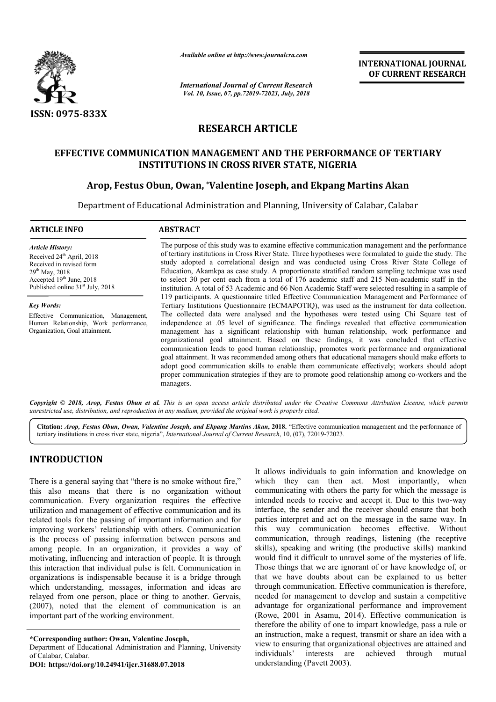

*Available online at http://www.journalcra.com*

*International Journal of Current Research Vol. 10, Issue, 07, pp.72019-72023, July, 2018*

**INTERNATIONAL JOURNAL OF CURRENT RESEARCH**

# **RESEARCH ARTICLE**

## **EFFECTIVE COMMUNICATION MANAGEMENT AND THE PERFORMANCE OF TERTIARY INSTITUTIONS IN CROSS RIVER STATE, NIGERIA**

## **Arop, Festus Obun, Owan, , \*Valentine Joseph, and Ekpang Martins Akan Valentine Joseph, and Martins Akan**

Department of Educational Administration and Planning, University of Calabar, Calabar Educational Administration and Planning,

| <b>ARTICLE INFO</b>                                                                                                                                                                                                                                                                                                                  | <b>ABSTRACT</b>                                                                                                                                                                                                                                                                                                                                                                                                                                                                                                                                                                                                                                                                                                                                                                                                             |  |  |  |  |  |
|--------------------------------------------------------------------------------------------------------------------------------------------------------------------------------------------------------------------------------------------------------------------------------------------------------------------------------------|-----------------------------------------------------------------------------------------------------------------------------------------------------------------------------------------------------------------------------------------------------------------------------------------------------------------------------------------------------------------------------------------------------------------------------------------------------------------------------------------------------------------------------------------------------------------------------------------------------------------------------------------------------------------------------------------------------------------------------------------------------------------------------------------------------------------------------|--|--|--|--|--|
| <b>Article History:</b><br>Received 24 <sup>th</sup> April, 2018<br>Received in revised form<br>$29th$ May, 2018<br>Accepted 19th June, 2018<br>Published online 31 <sup>st</sup> July, 2018<br><b>Key Words:</b><br>Effective Communication, Management,<br>Human Relationship, Work performance,<br>Organization, Goal attainment. | The purpose of this study was to examine effective communication management and the performance<br>of tertiary institutions in Cross River State. Three hypotheses were formulated to guide the study. The<br>study adopted a correlational design and was conducted using Cross River State College of<br>Education, Akamkpa as case study. A proportionate stratified random sampling technique was used<br>to select 30 per cent each from a total of 176 academic staff and 215 Non-academic staff in the<br>institution. A total of 53 Academic and 66 Non Academic Staff were selected resulting in a sample of<br>119 participants. A questionnaire titled Effective Communication Management and Performance of<br>Tertiary Institutions Questionnaire (ECMAPOTIQ), was used as the instrument for data collection. |  |  |  |  |  |
|                                                                                                                                                                                                                                                                                                                                      | The collected data were analysed and the hypotheses were tested using Chi Square test of<br>independence at .05 level of significance. The findings revealed that effective communication<br>management has a significant relationship with human relationship, work performance and<br>organizational goal attainment. Based on these findings, it was concluded that effective<br>communication leads to good human relationship, promotes work performance and organizational<br>goal attainment. It was recommended among others that educational managers should make efforts to<br>adopt good communication skills to enable them communicate effectively; workers should adopt<br>proper communication strategies if they are to promote good relationship among co-workers and the<br>managers.                     |  |  |  |  |  |

Copyright © 2018, Arop, Festus Obun et al. This is an open access article distributed under the Creative Commons Attribution License, which permits *unrestricted use, distribution, and reproduction in any medium, provided the original work is properly cited.*

Citation: Arop, Festus Obun, Owan, Valentine Joseph, and Ekpang Martins Akan, 2018. "Effective communication management and the performance of tertiary institutions in cross river state, nigeria", *International Journal of Current Research* , 10, (07), 72019-72023.

# **INTRODUCTION**

There is a general saying that "there is no smoke without fire," this also means that there is no organization without communication. Every organization requires the effective utilization and management of effective communication and its related tools for the passing of important information and for improving workers' relationship with others. Communication is the process of passing information between persons and among people. In an organization, it provides a way of motivating, influencing and interaction of people. It is through this interaction that individual pulse is felt. Communication in organizations is indispensable because it is a bridge through which understanding, messages, information and ideas are relayed from one person, place or thing to another. Gervais, (2007), noted that the element of communication is an important part of the working environment.

**\*Corresponding author: Owan, Valentine Joseph,** 

Department of Educational Administration and Planning, University of Calabar, Calabar.

**DOI: https://doi.org/10.24941/ijcr.31688.07.2018**

It allows individuals to gain information and knowledge on<br> **a** organization without free," when the act. Most importantly, when<br> **regivents** the pressure requires the effective intended needs to receive and accept it. Due which they can then act. Most importantly, when communicating with others the party for which the message is communicating with others the party for which the message is intended needs to receive and accept it. Due to this two-way interface, the sender and the receiver should ensure that both parties interpret and act on the message in the same way. In interface, the sender and the receiver should ensure that both parties interpret and act on the message in the same way. In this way communication becomes effective. Without communication, through readings, listening (the receptive skills), speaking and writing (the productive skills) mankind would find it difficult to unravel some of the mysteries of life. Those things that we are ignorant of or have knowledge of, or that we have doubts about can be explained to us better through communication. Effective communication is therefore needed for management to develop and sustain a competitive advantage for organizational performance and improvement (Rowe, 2001 in Asamu, 2014). Effective communication is therefore the ability of one to impart knowledge, pass a rule or an instruction, make a request, transmit or share an idea with a view to ensuring that organizational objectives are attained and individuals' interests are achieved through mutual understanding (Pavett 2003). would find it difficult to unravel some of the mysteries of life.<br>Those things that we are ignorant of or have knowledge of, or<br>that we have doubts about can be explained to us better<br>through communication. Effective commu management to develop and sustain a competitive<br>for organizational performance and improvement<br>01 in Asamu, 2014). Effective communication is **INTERNATIONAL JOUENAL**<br> **CDEREMATE CONSTRATE CONSTRATES CONSTRATES CONSTRATES CONSTRATES CONSTRATES CONSTRATES CONSTRATES CONSTRATES CONSTRATES CONSTRATES CONSTRATES CONSTRATES AND AND AND ARRESPOND AND A CONSTRATES CONST**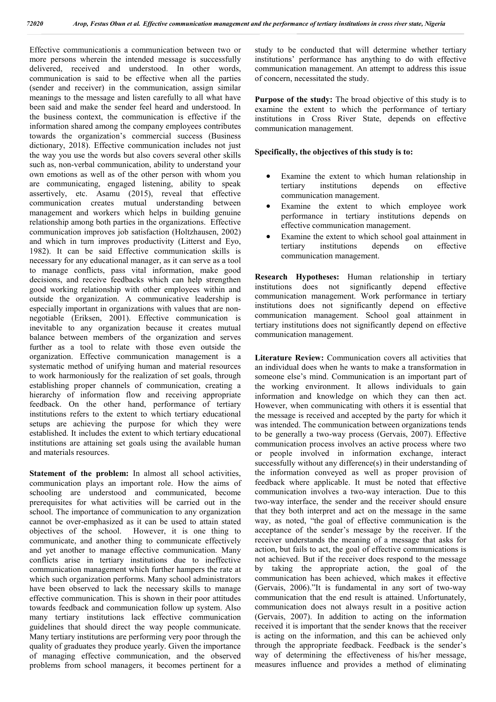Effective communicationis a communication between two or more persons wherein the intended message is successfully delivered, received and understood. In other words, communication is said to be effective when all the parties (sender and receiver) in the communication, assign similar meanings to the message and listen carefully to all what have been said and make the sender feel heard and understood. In the business context, the communication is effective if the information shared among the company employees contributes towards the organization's commercial success (Business dictionary, 2018). Effective communication includes not just the way you use the words but also covers several other skills such as, non-verbal communication, ability to understand your own emotions as well as of the other person with whom you are communicating, engaged listening, ability to speak assertively, etc. Asamu (2015), reveal that effective communication creates mutual understanding between management and workers which helps in building genuine relationship among both parties in the organizations. Effective communication improves job satisfaction (Holtzhausen, 2002) and which in turn improves productivity (Litterst and Eyo, 1982). It can be said Effective communication skills is necessary for any educational manager, as it can serve as a tool to manage conflicts, pass vital information, make good decisions, and receive feedbacks which can help strengthen good working relationship with other employees within and outside the organization. A communicative leadership is especially important in organizations with values that are nonnegotiable (Eriksen, 2001). Effective communication is inevitable to any organization because it creates mutual balance between members of the organization and serves further as a tool to relate with those even outside the organization. Effective communication management is a systematic method of unifying human and material resources to work harmoniously for the realization of set goals, through establishing proper channels of communication, creating a hierarchy of information flow and receiving appropriate feedback. On the other hand, performance of tertiary institutions refers to the extent to which tertiary educational setups are achieving the purpose for which they were established. It includes the extent to which tertiary educational institutions are attaining set goals using the available human and materials resources.

**Statement of the problem:** In almost all school activities, communication plays an important role. How the aims of schooling are understood and communicated, become prerequisites for what activities will be carried out in the school. The importance of communication to any organization cannot be over-emphasized as it can be used to attain stated objectives of the school. However, it is one thing to communicate, and another thing to communicate effectively and yet another to manage effective communication. Many conflicts arise in tertiary institutions due to ineffective communication management which further hampers the rate at which such organization performs. Many school administrators have been observed to lack the necessary skills to manage effective communication. This is shown in their poor attitudes towards feedback and communication follow up system. Also many tertiary institutions lack effective communication guidelines that should direct the way people communicate. Many tertiary institutions are performing very poor through the quality of graduates they produce yearly. Given the importance of managing effective communication, and the observed problems from school managers, it becomes pertinent for a

study to be conducted that will determine whether tertiary institutions' performance has anything to do with effective communication management. An attempt to address this issue of concern, necessitated the study.

**Purpose of the study:** The broad objective of this study is to examine the extent to which the performance of tertiary institutions in Cross River State, depends on effective communication management.

### **Specifically, the objectives of this study is to:**

- Examine the extent to which human relationship in tertiary institutions depends on effective communication management.
- Examine the extent to which employee work performance in tertiary institutions depends on effective communication management.
- Examine the extent to which school goal attainment in tertiary institutions depends on effective communication management.

**Research Hypotheses:** Human relationship in tertiary institutions does not significantly depend effective communication management. Work performance in tertiary institutions does not significantly depend on effective communication management. School goal attainment in tertiary institutions does not significantly depend on effective communication management.

**Literature Review:** Communication covers all activities that an individual does when he wants to make a transformation in someone else's mind. Communication is an important part of the working environment. It allows individuals to gain information and knowledge on which they can then act. However, when communicating with others it is essential that the message is received and accepted by the party for which it was intended. The communication between organizations tends to be generally a two-way process (Gervais, 2007). Effective communication process involves an active process where two or people involved in information exchange, interact successfully without any difference(s) in their understanding of the information conveyed as well as proper provision of feedback where applicable. It must be noted that effective communication involves a two-way interaction. Due to this two-way interface, the sender and the receiver should ensure that they both interpret and act on the message in the same way, as noted, "the goal of effective communication is the acceptance of the sender's message by the receiver. If the receiver understands the meaning of a message that asks for action, but fails to act, the goal of effective communications is not achieved. But if the receiver does respond to the message by taking the appropriate action, the goal of the communication has been achieved, which makes it effective (Gervais, 2006)."It is fundamental in any sort of two-way communication that the end result is attained. Unfortunately, communication does not always result in a positive action (Gervais, 2007). In addition to acting on the information received it is important that the sender knows that the receiver is acting on the information, and this can be achieved only through the appropriate feedback. Feedback is the sender's way of determining the effectiveness of his/her message, measures influence and provides a method of eliminating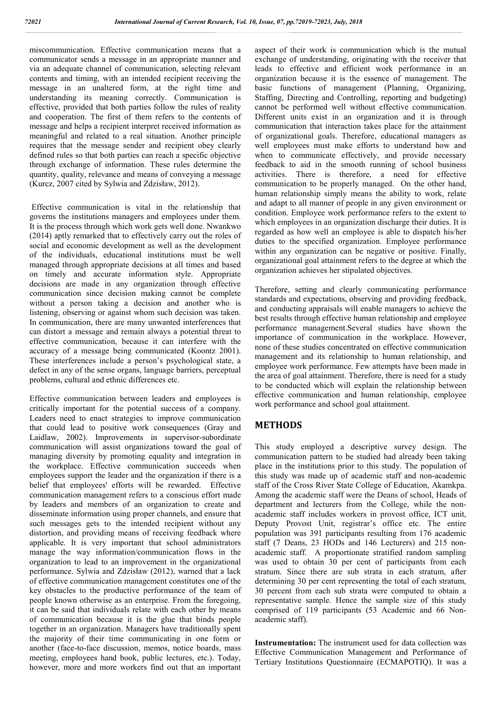miscommunication. Effective communication means that a communicator sends a message in an appropriate manner and via an adequate channel of communication, selecting relevant contents and timing, with an intended recipient receiving the message in an unaltered form, at the right time and understanding its meaning correctly. Communication is effective, provided that both parties follow the rules of reality and cooperation. The first of them refers to the contents of message and helps a recipient interpret received information as meaningful and related to a real situation. Another principle requires that the message sender and recipient obey clearly defined rules so that both parties can reach a specific objective through exchange of information. These rules determine the quantity, quality, relevance and means of conveying a message (Kurcz, 2007 cited by Sylwia and Zdzisław, 2012).

Effective communication is vital in the relationship that governs the institutions managers and employees under them. It is the process through which work gets well done. Nwankwo (2014) aptly remarked that to effectively carry out the roles of social and economic development as well as the development of the individuals, educational institutions must be well managed through appropriate decisions at all times and based on timely and accurate information style. Appropriate decisions are made in any organization through effective communication since decision making cannot be complete without a person taking a decision and another who is listening, observing or against whom such decision was taken. In communication, there are many unwanted interferences that can distort a message and remain always a potential threat to effective communication, because it can interfere with the accuracy of a message being communicated (Koontz 2001). These interferences include a person's psychological state, a defect in any of the sense organs, language barriers, perceptual problems, cultural and ethnic differences etc.

Effective communication between leaders and employees is critically important for the potential success of a company. Leaders need to enact strategies to improve communication that could lead to positive work consequences (Gray and Laidlaw, 2002). Improvements in supervisor-subordinate communication will assist organizations toward the goal of managing diversity by promoting equality and integration in the workplace. Effective communication succeeds when employees support the leader and the organization if there is a belief that employees' efforts will be rewarded. Effective communication management refers to a conscious effort made by leaders and members of an organization to create and disseminate information using proper channels, and ensure that such messages gets to the intended recipient without any distortion, and providing means of receiving feedback where applicable. It is very important that school administrators manage the way information/communication flows in the organization to lead to an improvement in the organizational performance. Sylwia and Zdzisław (2012), warned that a lack of effective communication management constitutes one of the key obstacles to the productive performance of the team of people known otherwise as an enterprise. From the foregoing, it can be said that individuals relate with each other by means of communication because it is the glue that binds people together in an organization. Managers have traditionally spent the majority of their time communicating in one form or another (face-to-face discussion, memos, notice boards, mass meeting, employees hand book, public lectures, etc.). Today, however, more and more workers find out that an important

aspect of their work is communication which is the mutual exchange of understanding, originating with the receiver that leads to effective and efficient work performance in an organization because it is the essence of management. The basic functions of management (Planning, Organizing, Staffing, Directing and Controlling, reporting and budgeting) cannot be performed well without effective communication. Different units exist in an organization and it is through communication that interaction takes place for the attainment of organizational goals. Therefore, educational managers as well employees must make efforts to understand how and when to communicate effectively, and provide necessary feedback to aid in the smooth running of school business activities. There is therefore, a need for effective communication to be properly managed. On the other hand, human relationship simply means the ability to work, relate and adapt to all manner of people in any given environment or condition. Employee work performance refers to the extent to which employees in an organization discharge their duties. It is regarded as how well an employee is able to dispatch his/her duties to the specified organization. Employee performance within any organization can be negative or positive. Finally, organizational goal attainment refers to the degree at which the organization achieves her stipulated objectives.

Therefore, setting and clearly communicating performance standards and expectations, observing and providing feedback, and conducting appraisals will enable managers to achieve the best results through effective human relationship and employee performance management.Several studies have shown the importance of communication in the workplace. However, none of these studies concentrated on effective communication management and its relationship to human relationship, and employee work performance. Few attempts have been made in the area of goal attainment. Therefore, there is need for a study to be conducted which will explain the relationship between effective communication and human relationship, employee work performance and school goal attainment.

## **METHODS**

This study employed a descriptive survey design. The communication pattern to be studied had already been taking place in the institutions prior to this study. The population of this study was made up of academic staff and non-academic staff of the Cross River State College of Education, Akamkpa. Among the academic staff were the Deans of school, Heads of department and lecturers from the College, while the nonacademic staff includes workers in provost office, ICT unit, Deputy Provost Unit, registrar's office etc. The entire population was 391 participants resulting from 176 academic staff (7 Deans, 23 HODs and 146 Lecturers) and 215 nonacademic staff. A proportionate stratified random sampling was used to obtain 30 per cent of participants from each stratum. Since there are sub strata in each stratum, after determining 30 per cent representing the total of each stratum, 30 percent from each sub strata were computed to obtain a representative sample. Hence the sample size of this study comprised of 119 participants (53 Academic and 66 Nonacademic staff).

**Instrumentation:** The instrument used for data collection was Effective Communication Management and Performance of Tertiary Institutions Questionnaire (ECMAPOTIQ). It was a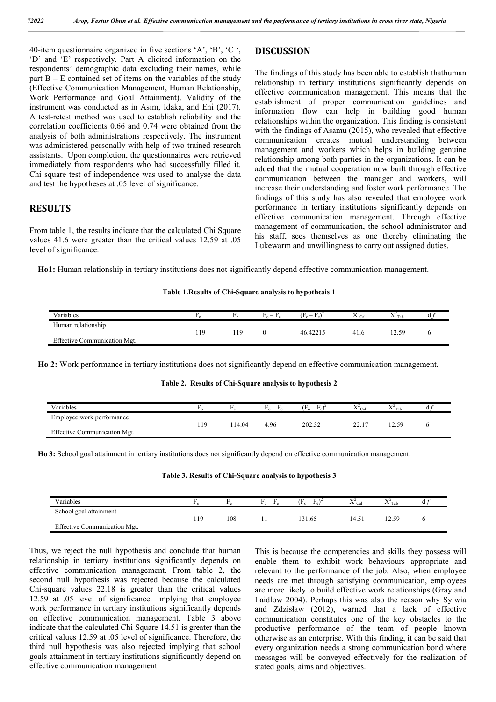40-item questionnaire organized in five sections 'A', 'B', 'C ', 'D' and 'E' respectively. Part A elicited information on the respondents' demographic data excluding their names, while part  $B - E$  contained set of items on the variables of the study (Effective Communication Management, Human Relationship, Work Performance and Goal Attainment). Validity of the instrument was conducted as in Asim, Idaka, and Eni (2017). A test-retest method was used to establish reliability and the correlation coefficients 0.66 and 0.74 were obtained from the analysis of both administrations respectively. The instrument was administered personally with help of two trained research assistants. Upon completion, the questionnaires were retrieved immediately from respondents who had successfully filled it. Chi square test of independence was used to analyse the data and test the hypotheses at .05 level of significance.

## **RESULTS**

From table 1, the results indicate that the calculated Chi Square values 41.6 were greater than the critical values 12.59 at .05 level of significance.

**DISCUSSION** 

The findings of this study has been able to establish thathuman relationship in tertiary institutions significantly depends on effective communication management. This means that the establishment of proper communication guidelines and information flow can help in building good human relationships within the organization. This finding is consistent with the findings of Asamu (2015), who revealed that effective communication creates mutual understanding between management and workers which helps in building genuine relationship among both parties in the organizations. It can be added that the mutual cooperation now built through effective communication between the manager and workers, will increase their understanding and foster work performance. The findings of this study has also revealed that employee work performance in tertiary institutions significantly depends on effective communication management. Through effective management of communication, the school administrator and his staff, sees themselves as one thereby eliminating the Lukewarm and unwillingness to carry out assigned duties.

**Ho1:** Human relationship in tertiary institutions does not significantly depend effective communication management.

#### **Table 1.Results of Chi-Square analysis to hypothesis 1**

| Variables                    |     | $\overline{\phantom{0}}$<br>$\mathbf{r} \circ$<br><b>10</b> | $(F_0 -$ | $\Lambda$ Cal | Tab |  |
|------------------------------|-----|-------------------------------------------------------------|----------|---------------|-----|--|
| Human relationship           | 119 |                                                             | 46.42215 | 1. C          | 50  |  |
| Effective Communication Mgt. |     |                                                             |          |               |     |  |

**Ho 2:** Work performance in tertiary institutions does not significantly depend on effective communication management.

#### **Table 2. Results of Chi-Square analysis to hypothesis 2**

| Variables                    |     |       | — F<br>$\mathbf{r}^{\circ}$<br>$\mathbf{r}$ | $\blacksquare$<br>Œ.<br>$\overline{\phantom{0}}$ | Cal   | $\lambda$ |  |
|------------------------------|-----|-------|---------------------------------------------|--------------------------------------------------|-------|-----------|--|
| Employee work performance    |     |       |                                             |                                                  |       |           |  |
|                              | 119 | 14.04 | 4.96                                        | າດາ 30                                           | 44. L | -50       |  |
| Effective Communication Mgt. |     |       |                                             |                                                  |       |           |  |

**Ho 3:** School goal attainment in tertiary institutions does not significantly depend on effective communication management.

**Table 3. Results of Chi-Square analysis to hypothesis 3**

| Variables                    | . . |     | $\ldots$ | $(F_0 -$ | XTZ.<br>$\Lambda$ $C_{2}$ <sup>1</sup> | $\nabla^2$<br>$\Lambda$ Tab |  |
|------------------------------|-----|-----|----------|----------|----------------------------------------|-----------------------------|--|
| School goal attainment       |     |     |          |          |                                        |                             |  |
|                              | 119 | 108 |          | 31.65    | 4.51                                   | 12.59                       |  |
| Effective Communication Mgt. |     |     |          |          |                                        |                             |  |
|                              |     |     |          |          |                                        |                             |  |

Thus, we reject the null hypothesis and conclude that human relationship in tertiary institutions significantly depends on effective communication management. From table 2, the second null hypothesis was rejected because the calculated Chi-square values 22.18 is greater than the critical values 12.59 at .05 level of significance. Implying that employee work performance in tertiary institutions significantly depends on effective communication management. Table 3 above indicate that the calculated Chi Square 14.51 is greater than the critical values 12.59 at .05 level of significance. Therefore, the third null hypothesis was also rejected implying that school goals attainment in tertiary institutions significantly depend on effective communication management.

This is because the competencies and skills they possess will enable them to exhibit work behaviours appropriate and relevant to the performance of the job. Also, when employee needs are met through satisfying communication, employees are more likely to build effective work relationships (Gray and Laidlow 2004). Perhaps this was also the reason why Sylwia and Zdzisław (2012), warned that a lack of effective communication constitutes one of the key obstacles to the productive performance of the team of people known otherwise as an enterprise. With this finding, it can be said that every organization needs a strong communication bond where messages will be conveyed effectively for the realization of stated goals, aims and objectives.